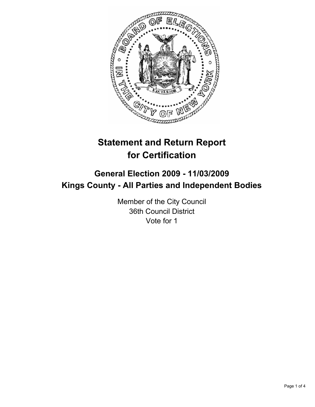

# **Statement and Return Report for Certification**

# **General Election 2009 - 11/03/2009 Kings County - All Parties and Independent Bodies**

Member of the City Council 36th Council District Vote for 1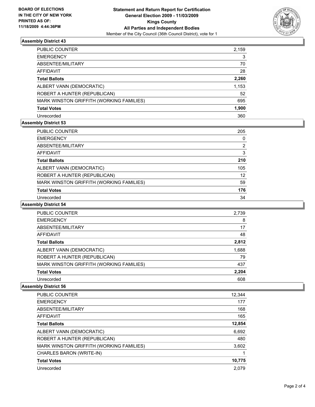

# **Assembly District 43**

| PUBLIC COUNTER                           | 2,159 |
|------------------------------------------|-------|
| <b>EMERGENCY</b>                         | 3     |
| ABSENTEE/MILITARY                        | 70    |
| AFFIDAVIT                                | 28    |
| <b>Total Ballots</b>                     | 2,260 |
| ALBERT VANN (DEMOCRATIC)                 | 1,153 |
| ROBERT A HUNTER (REPUBLICAN)             | 52    |
| MARK WINSTON GRIFFITH (WORKING FAMILIES) | 695   |
| <b>Total Votes</b>                       | 1,900 |
| Unrecorded                               | 360   |

# **Assembly District 53**

| PUBLIC COUNTER                           | 205 |
|------------------------------------------|-----|
| <b>EMERGENCY</b>                         | 0   |
| ABSENTEE/MILITARY                        | 2   |
| AFFIDAVIT                                | 3   |
| <b>Total Ballots</b>                     | 210 |
| ALBERT VANN (DEMOCRATIC)                 | 105 |
| ROBERT A HUNTER (REPUBLICAN)             | 12  |
| MARK WINSTON GRIFFITH (WORKING FAMILIES) | 59  |
| <b>Total Votes</b>                       | 176 |
| Unrecorded                               | 34  |

#### **Assembly District 54**

| <b>PUBLIC COUNTER</b>                    | 2,739 |
|------------------------------------------|-------|
| <b>EMERGENCY</b>                         | 8     |
| ABSENTEE/MILITARY                        | 17    |
| AFFIDAVIT                                | 48    |
| <b>Total Ballots</b>                     | 2,812 |
| ALBERT VANN (DEMOCRATIC)                 | 1,688 |
| ROBERT A HUNTER (REPUBLICAN)             | 79    |
| MARK WINSTON GRIFFITH (WORKING FAMILIES) | 437   |
| <b>Total Votes</b>                       | 2,204 |
| Unrecorded                               | 608   |

#### **Assembly District 56**

| <b>PUBLIC COUNTER</b>                    | 12,344 |
|------------------------------------------|--------|
| <b>EMERGENCY</b>                         | 177    |
| ABSENTEE/MILITARY                        | 168    |
| AFFIDAVIT                                | 165    |
| <b>Total Ballots</b>                     | 12,854 |
| ALBERT VANN (DEMOCRATIC)                 | 6,692  |
| ROBERT A HUNTER (REPUBLICAN)             | 480    |
| MARK WINSTON GRIFFITH (WORKING FAMILIES) | 3,602  |
| CHARLES BARON (WRITE-IN)                 |        |
| <b>Total Votes</b>                       | 10,775 |
| Unrecorded                               | 2.079  |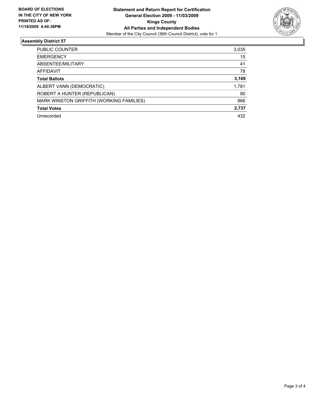

# **Assembly District 57**

| <b>PUBLIC COUNTER</b>                    | 3,035 |
|------------------------------------------|-------|
| <b>EMERGENCY</b>                         | 15    |
| ABSENTEE/MILITARY                        | 41    |
| <b>AFFIDAVIT</b>                         | 78    |
| <b>Total Ballots</b>                     | 3,169 |
| ALBERT VANN (DEMOCRATIC)                 | 1,781 |
| ROBERT A HUNTER (REPUBLICAN)             | 90    |
| MARK WINSTON GRIFFITH (WORKING FAMILIES) | 866   |
| <b>Total Votes</b>                       | 2,737 |
| Unrecorded                               | 432   |